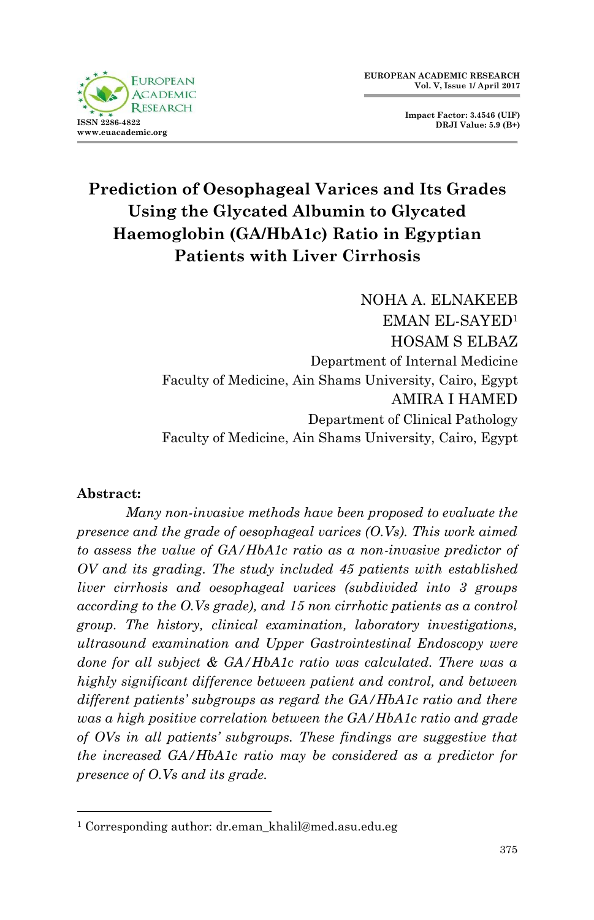

**Impact Factor: 3.4546 (UIF) DRJI Value: 5.9 (B+)**

# **Prediction of Oesophageal Varices and Its Grades Using the Glycated Albumin to Glycated Haemoglobin (GA/HbA1c) Ratio in Egyptian Patients with Liver Cirrhosis**

NOHA A. ELNAKEEB EMAN EL-SAYED<sup>1</sup> HOSAM S ELBAZ Department of Internal Medicine Faculty of Medicine, Ain Shams University, Cairo, Egypt AMIRA I HAMED Department of Clinical Pathology Faculty of Medicine, Ain Shams University, Cairo, Egypt

#### **Abstract:**

1

*Many non-invasive methods have been proposed to evaluate the presence and the grade of oesophageal varices (O.Vs). This work aimed to assess the value of GA/HbA1c ratio as a non-invasive predictor of OV and its grading. The study included 45 patients with established liver cirrhosis and oesophageal varices (subdivided into 3 groups according to the O.Vs grade), and 15 non cirrhotic patients as a control group. The history, clinical examination, laboratory investigations, ultrasound examination and Upper Gastrointestinal Endoscopy were done for all subject & GA/HbA1c ratio was calculated. There was a highly significant difference between patient and control, and between different patients' subgroups as regard the GA/HbA1c ratio and there was a high positive correlation between the GA/HbA1c ratio and grade of OVs in all patients' subgroups. These findings are suggestive that the increased GA/HbA1c ratio may be considered as a predictor for presence of O.Vs and its grade.* 

<sup>&</sup>lt;sup>1</sup> Corresponding author: dr.eman\_khalil@med.asu.edu.eg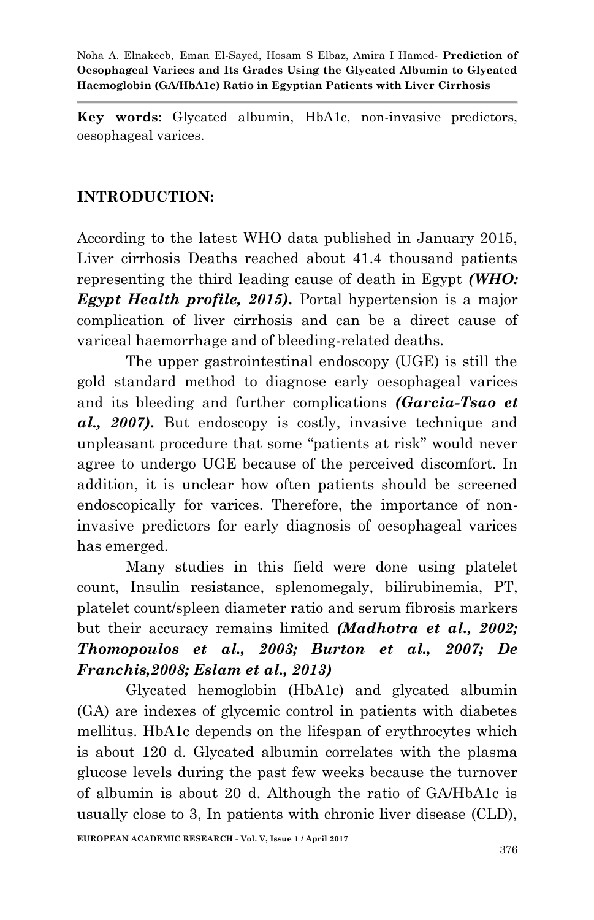**Key words**: Glycated albumin, HbA1c, non-invasive predictors, oesophageal varices.

#### **INTRODUCTION:**

According to the latest WHO data published in January 2015, Liver cirrhosis Deaths reached about 41.4 thousand patients representing the third leading cause of death in Egypt *(WHO: Egypt Health profile, 2015).* Portal hypertension is a major complication of liver cirrhosis and can be a direct cause of variceal haemorrhage and of bleeding-related deaths.

The upper gastrointestinal endoscopy (UGE) is still the gold standard method to diagnose early oesophageal varices and its bleeding and further complications *(Garcia-Tsao et al., 2007).* But endoscopy is costly, invasive technique and unpleasant procedure that some "patients at risk" would never agree to undergo UGE because of the perceived discomfort. In addition, it is unclear how often patients should be screened endoscopically for varices. Therefore, the importance of noninvasive predictors for early diagnosis of oesophageal varices has emerged.

Many studies in this field were done using platelet count, Insulin resistance, splenomegaly, bilirubinemia, PT, platelet count/spleen diameter ratio and serum fibrosis markers but their accuracy remains limited *(Madhotra et al., 2002; Thomopoulos et al., 2003; Burton et al., 2007; De Franchis,2008; Eslam et al., 2013)*

Glycated hemoglobin (HbA1c) and glycated albumin (GA) are indexes of glycemic control in patients with diabetes mellitus. HbA1c depends on the lifespan of erythrocytes which is about 120 d. Glycated albumin correlates with the plasma glucose levels during the past few weeks because the turnover of albumin is about 20 d. Although the ratio of GA/HbA1c is usually close to 3, In patients with chronic liver disease (CLD),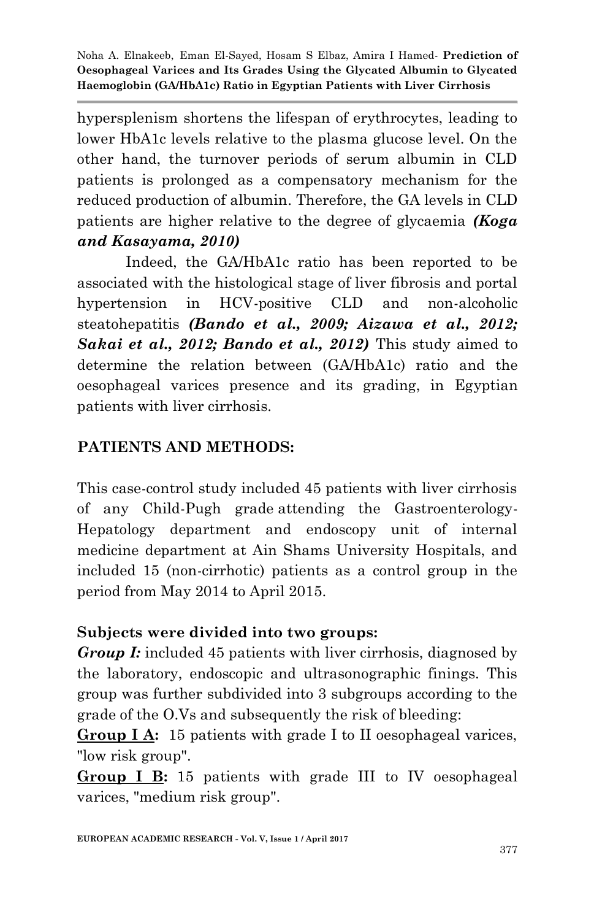hypersplenism shortens the lifespan of erythrocytes, leading to lower HbA1c levels relative to the plasma glucose level. On the other hand, the turnover periods of serum albumin in CLD patients is prolonged as a compensatory mechanism for the reduced production of albumin. Therefore, the GA levels in CLD patients are higher relative to the degree of glycaemia *(Koga and Kasayama, 2010)*

Indeed, the GA/HbA1c ratio has been reported to be associated with the histological stage of liver fibrosis and portal hypertension in HCV-positive CLD and non-alcoholic steatohepatitis *(Bando et al., 2009; Aizawa et al., 2012; Sakai et al., 2012; Bando et al., 2012)* This study aimed to determine the relation between (GA/HbA1c) ratio and the oesophageal varices presence and its grading, in Egyptian patients with liver cirrhosis.

# **PATIENTS AND METHODS:**

This case-control study included 45 patients with liver cirrhosis of any Child-Pugh grade attending the Gastroenterology-Hepatology department and endoscopy unit of internal medicine department at Ain Shams University Hospitals, and included 15 (non-cirrhotic) patients as a control group in the period from May 2014 to April 2015.

## **Subjects were divided into two groups:**

*Group I:* included 45 patients with liver cirrhosis, diagnosed by the laboratory, endoscopic and ultrasonographic finings. This group was further subdivided into 3 subgroups according to the grade of the O.Vs and subsequently the risk of bleeding:

**Group I A:** 15 patients with grade I to II oesophageal varices, "low risk group".

**Group I B:** 15 patients with grade III to IV oesophageal varices, "medium risk group".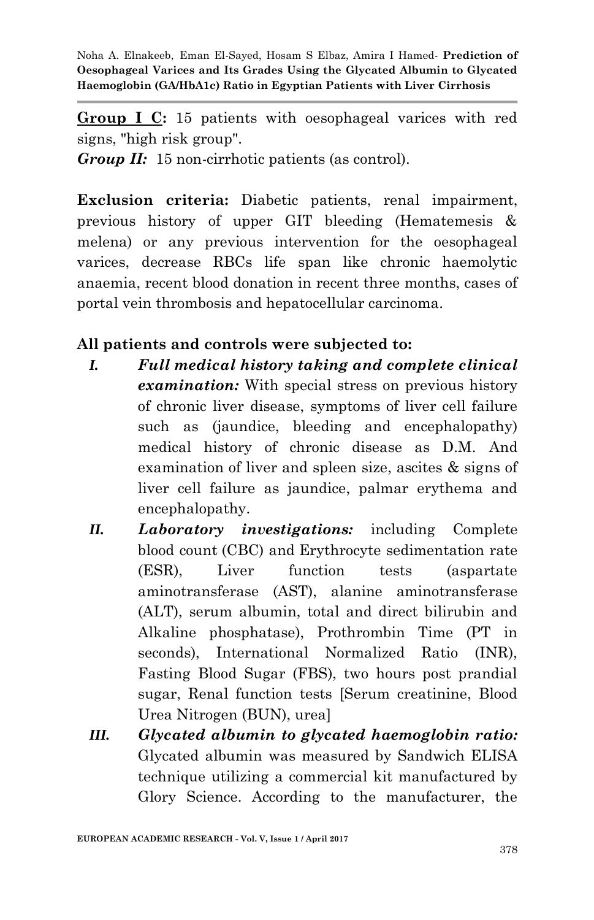**Group I C:** 15 patients with oesophageal varices with red signs, "high risk group".

*Group II:*15 non-cirrhotic patients (as control).

**Exclusion criteria:** Diabetic patients, renal impairment, previous history of upper GIT bleeding (Hematemesis & melena) or any previous intervention for the oesophageal varices, decrease RBCs life span like chronic haemolytic anaemia, recent blood donation in recent three months, cases of portal vein thrombosis and hepatocellular carcinoma.

## **All patients and controls were subjected to:**

- *I. Full medical history taking and complete clinical examination:* With special stress on previous history of chronic liver disease, symptoms of liver cell failure such as (jaundice, bleeding and encephalopathy) medical history of chronic disease as D.M. And examination of liver and spleen size, ascites & signs of liver cell failure as jaundice, palmar erythema and encephalopathy.
- *II. Laboratory investigations:* including Complete blood count (CBC) and Erythrocyte sedimentation rate (ESR), Liver function tests (aspartate aminotransferase (AST), alanine aminotransferase (ALT), serum albumin, total and direct bilirubin and Alkaline phosphatase), Prothrombin Time (PT in seconds), International Normalized Ratio (INR), Fasting Blood Sugar (FBS), two hours post prandial sugar, Renal function tests [Serum creatinine, Blood Urea Nitrogen (BUN), urea]
- *III. Glycated albumin to glycated haemoglobin ratio:*  Glycated albumin was measured by Sandwich ELISA technique utilizing a commercial kit manufactured by Glory Science. According to the manufacturer, the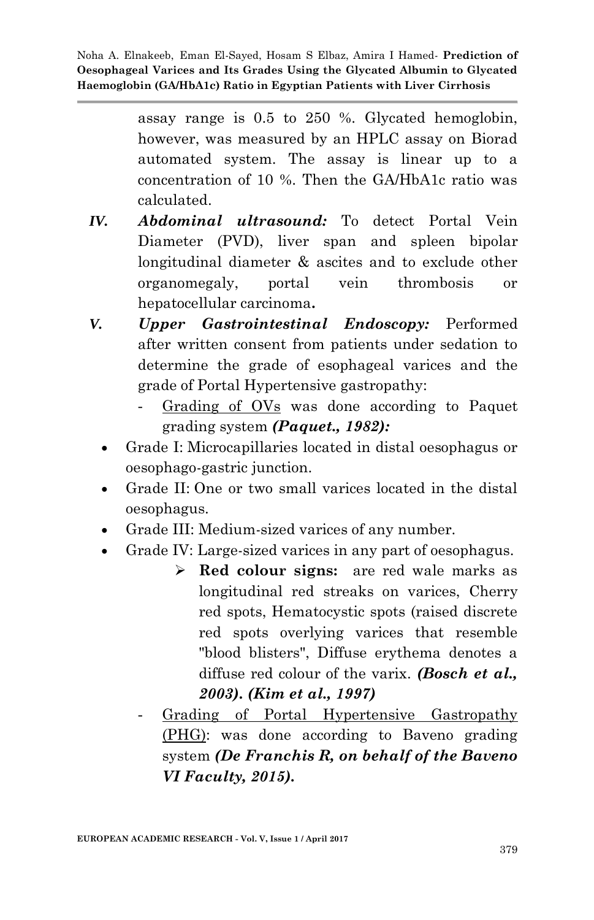> assay range is 0.5 to 250 %. Glycated hemoglobin, however, was measured by an HPLC assay on Biorad automated system. The assay is linear up to a concentration of 10 %. Then the GA/HbA1c ratio was calculated.

- *IV. Abdominal ultrasound:* To detect Portal Vein Diameter (PVD), liver span and spleen bipolar longitudinal diameter & ascites and to exclude other organomegaly, portal vein thrombosis or hepatocellular carcinoma**.**
- *V. Upper Gastrointestinal Endoscopy:* Performed after written consent from patients under sedation to determine the grade of esophageal varices and the grade of Portal Hypertensive gastropathy:
	- Grading of OVs was done according to Paquet grading system *(Paquet., 1982):*
	- Grade I: Microcapillaries located in distal oesophagus or oesophago-gastric junction.
	- Grade II: One or two small varices located in the distal oesophagus.
	- Grade III: Medium-sized varices of any number.
	- Grade IV: Large-sized varices in any part of oesophagus.
		- **Red colour signs:** are red wale marks as longitudinal red streaks on varices, Cherry red spots, Hematocystic spots (raised discrete red spots overlying varices that resemble "blood blisters", Diffuse erythema denotes a diffuse red colour of the varix. *(Bosch et al., 2003). (Kim et al., 1997)*
		- Grading of Portal Hypertensive Gastropathy (PHG): was done according to Baveno grading system *(De Franchis R, on behalf of the Baveno VI Faculty, 2015).*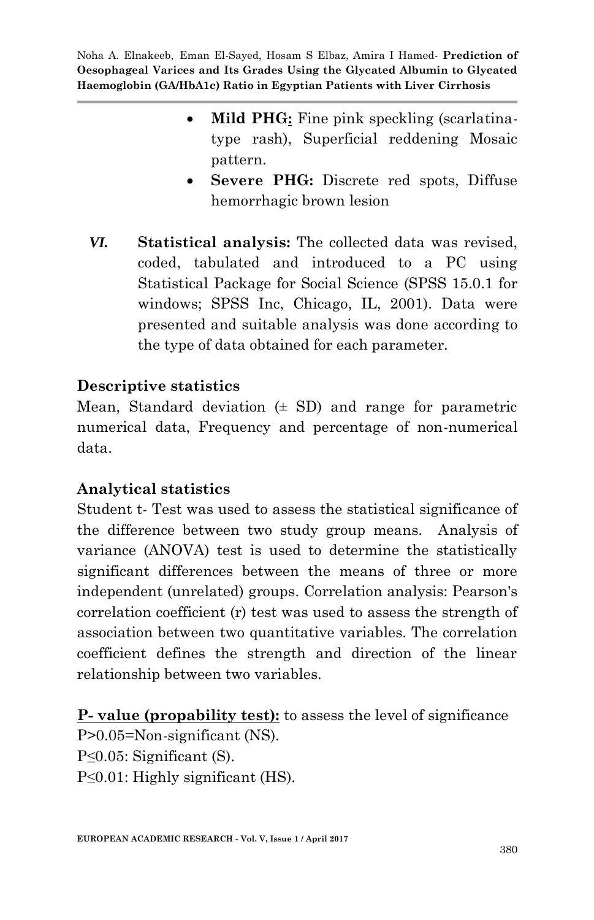- Mild PHG: Fine pink speckling (scarlatinatype rash), Superficial reddening Mosaic pattern.
- **Severe PHG:** Discrete red spots, Diffuse hemorrhagic brown lesion
- *VI.* **Statistical analysis:** The collected data was revised, coded, tabulated and introduced to a PC using Statistical Package for Social Science (SPSS 15.0.1 for windows; SPSS Inc, Chicago, IL, 2001). Data were presented and suitable analysis was done according to the type of data obtained for each parameter.

#### **Descriptive statistics**

Mean, Standard deviation  $(\pm S D)$  and range for parametric numerical data, Frequency and percentage of non-numerical data.

#### **Analytical statistics**

Student t- Test was used to assess the statistical significance of the difference between two study group means. Analysis of variance (ANOVA) test is used to determine the statistically significant differences between the means of three or more independent (unrelated) groups. Correlation analysis: Pearson's correlation coefficient (r) test was used to assess the strength of association between two quantitative variables. The correlation coefficient defines the strength and direction of the linear relationship between two variables.

**P- value (propability test):** to assess the level of significance

P>0.05=Non-significant (NS). P≤0.05: Significant (S). P≤0.01: Highly significant (HS).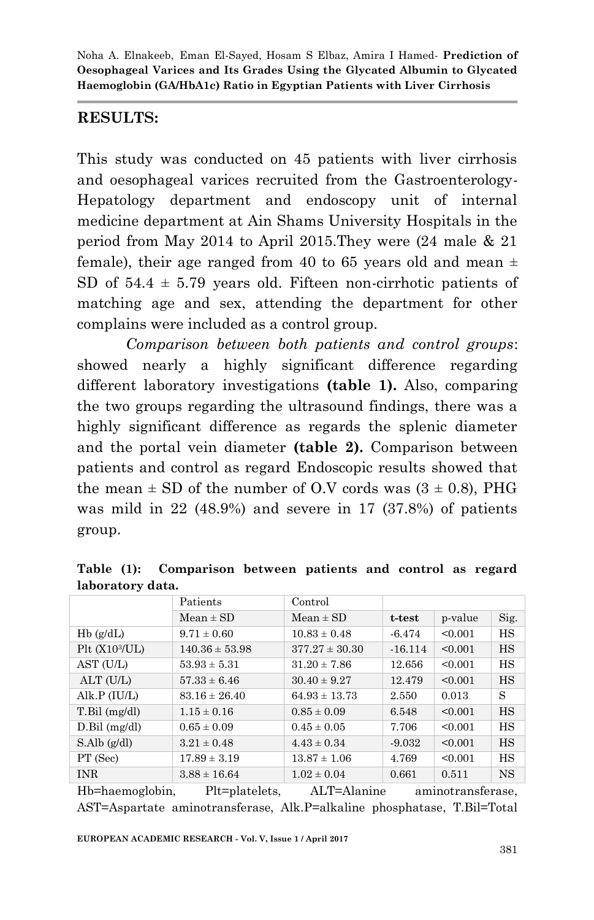## **RESULTS:**

This study was conducted on 45 patients with liver cirrhosis and oesophageal varices recruited from the Gastroenterology-Hepatology department and endoscopy unit of internal medicine department at Ain Shams University Hospitals in the period from May 2014 to April 2015.They were (24 male & 21 female), their age ranged from 40 to 65 years old and mean  $\pm$ SD of  $54.4 \pm 5.79$  years old. Fifteen non-cirrhotic patients of matching age and sex, attending the department for other complains were included as a control group.

*Comparison between both patients and control groups*: showed nearly a highly significant difference regarding different laboratory investigations **(table 1).** Also, comparing the two groups regarding the ultrasound findings, there was a highly significant difference as regards the splenic diameter and the portal vein diameter **(table 2).** Comparison between patients and control as regard Endoscopic results showed that the mean  $\pm$  SD of the number of O.V cords was  $(3 \pm 0.8)$ , PHG was mild in 22 (48.9%) and severe in 17 (37.8%) of patients group.

|                            | Patients           | Control            |           |         |           |
|----------------------------|--------------------|--------------------|-----------|---------|-----------|
|                            | $Mean \pm SD$      | $Mean \pm SD$      | t-test    | p-value | Sig.      |
| $Hb$ (g/dL)                | $9.71 \pm 0.60$    | $10.83 \pm 0.48$   | $-6.474$  | < 0.001 | HS        |
| Plt (X10 <sup>3</sup> /UL) | $140.36 \pm 53.98$ | $377.27 \pm 30.30$ | $-16.114$ | < 0.001 | HS        |
| AST (U/L)                  | $53.93 \pm 5.31$   | $31.20 \pm 7.86$   | 12.656    | < 0.001 | HS        |
| ALT (U/L)                  | $57.33 \pm 6.46$   | $30.40 \pm 9.27$   | 12.479    | < 0.001 | HS        |
| Alk.P $(IU/L)$             | $83.16 \pm 26.40$  | $64.93 \pm 13.73$  | 2.550     | 0.013   | S         |
| $T.Bil$ (mg/dl)            | $1.15 \pm 0.16$    | $0.85 \pm 0.09$    | 6.548     | < 0.001 | <b>HS</b> |
| $D.Bil$ (mg/dl)            | $0.65 \pm 0.09$    | $0.45 \pm 0.05$    | 7.706     | < 0.001 | HS        |
| S.Alb(g/dl)                | $3.21 \pm 0.48$    | $4.43 \pm 0.34$    | $-9.032$  | < 0.001 | <b>HS</b> |
| PT (Sec)                   | $17.89 \pm 3.19$   | $13.87 \pm 1.06$   | 4.769     | < 0.001 | HS        |
| <b>INR</b>                 | $3.88 \pm 16.64$   | $1.02 \pm 0.04$    | 0.661     | 0.511   | <b>NS</b> |

**Table (1): Comparison between patients and control as regard laboratory data.**

Hb=haemoglobin, Plt=platelets, ALT=Alanine aminotransferase, AST=Aspartate aminotransferase, Alk.P=alkaline phosphatase, T.Bil=Total

**EUROPEAN ACADEMIC RESEARCH - Vol. V, Issue 1 / April 2017**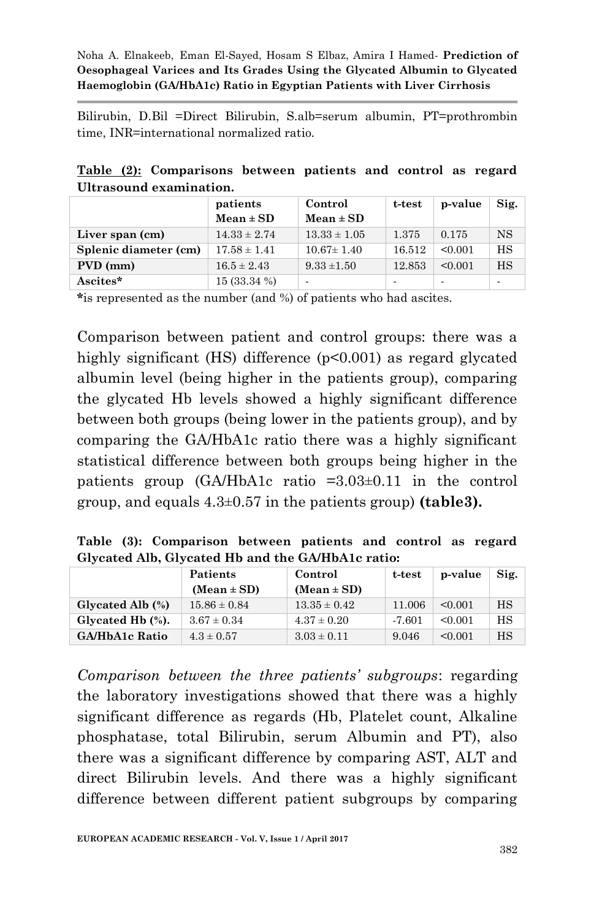Bilirubin, D.Bil =Direct Bilirubin, S.alb=serum albumin, PT=prothrombin time, INR=international normalized ratio.

|  | Table (2): Comparisons between patients and control as regard |  |  |  |
|--|---------------------------------------------------------------|--|--|--|
|  | Ultrasound examination.                                       |  |  |  |

|                       | patients         | Control                  | t-test | p-value | Sig. |
|-----------------------|------------------|--------------------------|--------|---------|------|
|                       | $Mean \pm SD$    | $Mean \pm SD$            |        |         |      |
| Liver span (cm)       | $14.33 \pm 2.74$ | $13.33 \pm 1.05$         | 1.375  | 0.175   | NS   |
| Splenic diameter (cm) | $17.58 \pm 1.41$ | $10.67 \pm 1.40$         | 16.512 | < 0.001 | HS   |
| PVD (mm)              | $16.5 \pm 2.43$  | $9.33 \pm 1.50$          | 12.853 | < 0.001 | HS   |
| Ascites*              | $15(33.34\%)$    | $\overline{\phantom{a}}$ |        |         | ۰    |

**\***is represented as the number (and %) of patients who had ascites.

Comparison between patient and control groups: there was a highly significant (HS) difference (p<0.001) as regard glycated albumin level (being higher in the patients group), comparing the glycated Hb levels showed a highly significant difference between both groups (being lower in the patients group), and by comparing the GA/HbA1c ratio there was a highly significant statistical difference between both groups being higher in the patients group (GA/HbA1c ratio =3.03±0.11 in the control group, and equals 4.3±0.57 in the patients group) **(table3).**

**Table (3): Comparison between patients and control as regard Glycated Alb, Glycated Hb and the GA/HbA1c ratio:**

|                  | <b>Patients</b>  | Control          | t-test   | p-value | Sig. |
|------------------|------------------|------------------|----------|---------|------|
|                  | $(Mean \pm SD)$  | $(Mean \pm SD)$  |          |         |      |
| Glycated Alb (%) | $15.86 \pm 0.84$ | $13.35 \pm 0.42$ | 11.006   | < 0.001 | HS   |
| Glycated Hb (%). | $3.67 \pm 0.34$  | $4.37 \pm 0.20$  | $-7.601$ | < 0.001 | HS   |
| GA/HbA1c Ratio   | $4.3 \pm 0.57$   | $3.03 \pm 0.11$  | 9.046    | < 0.001 | HS   |

*Comparison between the three patients' subgroups*: regarding the laboratory investigations showed that there was a highly significant difference as regards (Hb, Platelet count, Alkaline phosphatase, total Bilirubin, serum Albumin and PT), also there was a significant difference by comparing AST, ALT and direct Bilirubin levels. And there was a highly significant difference between different patient subgroups by comparing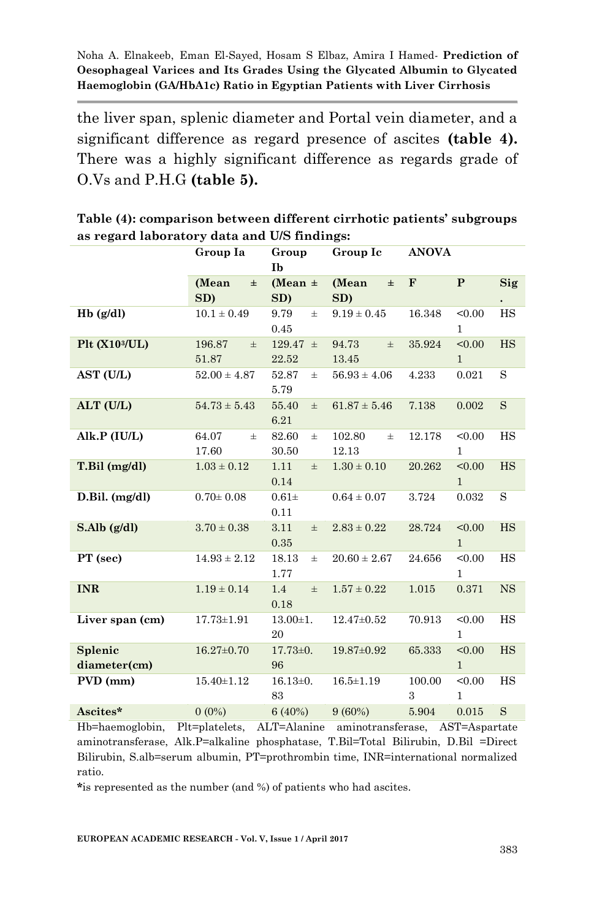the liver span, splenic diameter and Portal vein diameter, and a significant difference as regard presence of ascites **(table 4).** There was a highly significant difference as regards grade of O.Vs and P.H.G **(table 5).**

|                                | Group Ia                 | Group<br>Group Ic<br>Ib |                          | <b>ANOVA</b>                          |            |
|--------------------------------|--------------------------|-------------------------|--------------------------|---------------------------------------|------------|
|                                | (Mean)<br>$\pm$<br>SD)   | (Mean $\pm$<br>SD)      | (Mean<br>$\pm$<br>SD)    | $\mathbf{P}$<br>$\mathbf{F}$          | <b>Sig</b> |
| $Hb$ (g/dl)                    | $10.1 \pm 0.49$          | 9.79<br>$\pm$<br>0.45   | $9.19 \pm 0.45$          | 16.348<br>< 0.00<br>$\mathbf{1}$      | HS         |
| Plt (X10 <sup>3</sup> /UL)     | 196.87<br>$\pm$<br>51.87 | $129.47 \pm$<br>22.52   | 94.73<br>$\pm$<br>13.45  | < 0.00<br>35.924<br>$\mathbf{1}$      | HS         |
| AST (U/L)                      | $52.00 \pm 4.87$         | 52.87<br>$\pm$<br>5.79  | $56.93 \pm 4.06$         | 4.233<br>0.021                        | S          |
| ALT (U/L)                      | $54.73 \pm 5.43$         | 55.40<br>$\pm$<br>6.21  | $61.87 \pm 5.46$         | 7.138<br>0.002                        | S          |
| Alk.P (IU/L)                   | 64.07<br>$\pm$<br>17.60  | 82.60<br>$\pm$<br>30.50 | 102.80<br>$\pm$<br>12.13 | 12.178<br>< 0.00<br>$\mathbf{1}$      | HS         |
| T.Bil (mg/dl)                  | $1.03 \pm 0.12$          | 1.11<br>$\pm$<br>0.14   | $1.30 \pm 0.10$          | 20.262<br>< 0.00<br>$\mathbf{1}$      | HS         |
| $D.Bil.$ $(mg/dl)$             | $0.70 \pm 0.08$          | $0.61\pm$<br>0.11       | $0.64 \pm 0.07$          | 3.724<br>0.032                        | S          |
| S. Alb(g/dl)                   | $3.70 \pm 0.38$          | 3.11<br>$\pm$<br>0.35   | $2.83 \pm 0.22$          | 28.724<br>< 0.00<br>$\mathbf{1}$      | HS         |
| PT (sec)                       | $14.93 \pm 2.12$         | 18.13<br>$\pm$<br>1.77  | $20.60 \pm 2.67$         | < 0.00<br>24.656<br>$\mathbf{1}$      | HS         |
| <b>INR</b>                     | $1.19 \pm 0.14$          | 1.4<br>$\pm$<br>0.18    | $1.57 \pm 0.22$          | 1.015<br>0.371                        | <b>NS</b>  |
| Liver span (cm)                | $17.73 \pm 1.91$         | $13.00 \pm 1.$<br>20    | $12.47 \pm 0.52$         | < 0.00<br>70.913<br>1                 | HS         |
| <b>Splenic</b><br>diameter(cm) | $16.27 \pm 0.70$         | $17.73 \pm 0.$<br>96    | 19.87±0.92               | 65.333<br>< 0.00<br>$\mathbf{1}$      | HS         |
| PVD (mm)                       | $15.40 \pm 1.12$         | $16.13 \pm 0.$<br>83    | $16.5 \pm 1.19$          | 100.00<br>< 0.00<br>3<br>$\mathbf{1}$ | HS         |
| Ascites*                       | $0(0\%)$                 | 6(40%)                  | 9(60%)                   | 5.904<br>0.015                        | S          |

**Table (4): comparison between different cirrhotic patients' subgroups as regard laboratory data and U/S findings:**

Hb=haemoglobin, Plt=platelets, ALT=Alanine aminotransferase, AST=Aspartate aminotransferase, Alk.P=alkaline phosphatase, T.Bil=Total Bilirubin, D.Bil =Direct Bilirubin, S.alb=serum albumin, PT=prothrombin time, INR=international normalized ratio.

**\***is represented as the number (and %) of patients who had ascites.

**EUROPEAN ACADEMIC RESEARCH - Vol. V, Issue 1 / April 2017**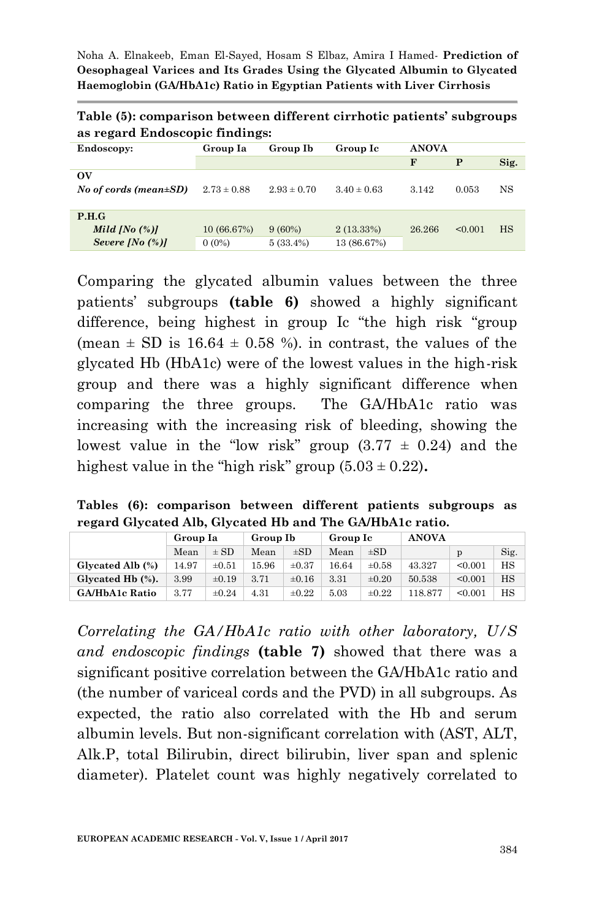| Table (5): comparison between different cirrhotic patients' subgroups |  |  |
|-----------------------------------------------------------------------|--|--|
| as regard Endoscopic findings:                                        |  |  |

| Endoscopy:                   | Group Ia        | Group Ib        | Group Ic               |       | <b>ANOVA</b> |           |  |
|------------------------------|-----------------|-----------------|------------------------|-------|--------------|-----------|--|
|                              |                 |                 |                        | F     | P            | Sig.      |  |
| $\alpha$                     |                 |                 |                        |       |              |           |  |
| No of cords (mean $\pm SD$ ) | $2.73 \pm 0.88$ | $2.93 \pm 0.70$ | $3.40 \pm 0.63$        | 3.142 | 0.053        | NS        |  |
|                              |                 |                 |                        |       |              |           |  |
| P.H.G                        |                 |                 |                        |       |              |           |  |
| Mild [No $(\%)$ ]            | 10 (66.67%)     | $9(60\%)$       | $2(13.33\%)$<br>26.266 |       | < 0.001      | <b>HS</b> |  |
| Severe [No $(\%)$ ]          | $0(0\%)$        | $5(33.4\%)$     | 13 (86.67%)            |       |              |           |  |

Comparing the glycated albumin values between the three patients' subgroups **(table 6)** showed a highly significant difference, being highest in group Ic "the high risk "group (mean  $\pm$  SD is 16.64  $\pm$  0.58 %). in contrast, the values of the glycated Hb (HbA1c) were of the lowest values in the high-risk group and there was a highly significant difference when comparing the three groups. The GA/HbA1c ratio was increasing with the increasing risk of bleeding, showing the lowest value in the "low risk" group  $(3.77 \pm 0.24)$  and the highest value in the "high risk" group  $(5.03 \pm 0.22)$ .

**Tables (6): comparison between different patients subgroups as regard Glycated Alb, Glycated Hb and The GA/HbA1c ratio.**

|                       | Group Ia |            | Group Ib |            | Group Ic |            | <b>ANOVA</b> |         |      |
|-----------------------|----------|------------|----------|------------|----------|------------|--------------|---------|------|
|                       | Mean     | $\pm$ SD   | Mean     | $\pm SD$   | Mean     | $\pm$ SD   |              | p       | Sig. |
| Glycated Alb (%)      | 14.97    | $\pm 0.51$ | 15.96    | $\pm 0.37$ | 16.64    | $\pm 0.58$ | 43.327       | < 0.001 | HS   |
| Glycated Hb (%).      | 3.99     | $\pm 0.19$ | 3.71     | $\pm 0.16$ | 3.31     | $\pm 0.20$ | 50.538       | < 0.001 | HS   |
| <b>GA/HbA1c Ratio</b> | 3.77     | $\pm 0.24$ | 4.31     | $\pm 0.22$ | 5.03     | $\pm 0.22$ | 118.877      | < 0.001 | HS   |

*Correlating the GA/HbA1c ratio with other laboratory, U/S and endoscopic findings* **(table 7)** showed that there was a significant positive correlation between the GA/HbA1c ratio and (the number of variceal cords and the PVD) in all subgroups. As expected, the ratio also correlated with the Hb and serum albumin levels. But non-significant correlation with (AST, ALT, Alk.P, total Bilirubin, direct bilirubin, liver span and splenic diameter). Platelet count was highly negatively correlated to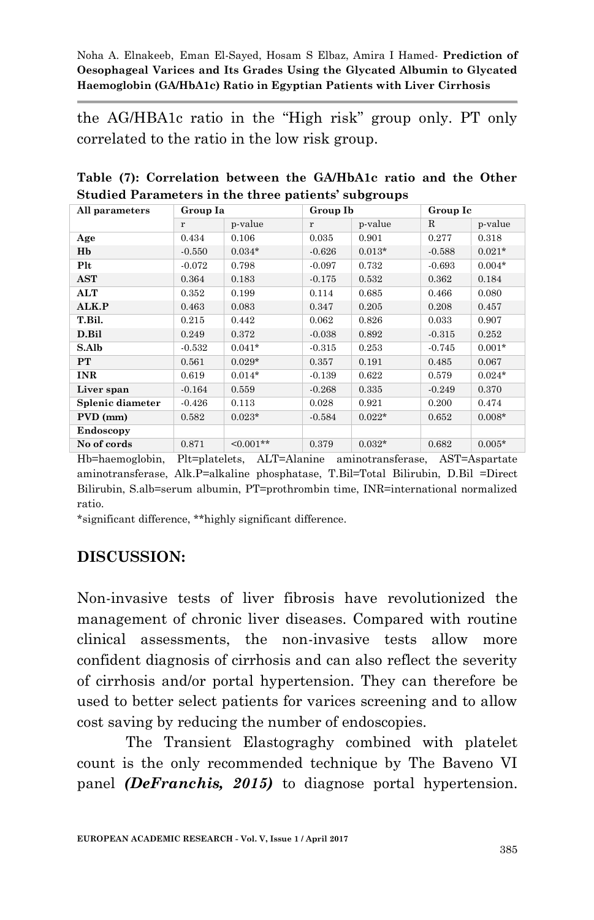the AG/HBA1c ratio in the "High risk" group only. PT only correlated to the ratio in the low risk group.

| All parameters   | Group Ia |             | Group Ib |          |             | Group Ic |  |  |
|------------------|----------|-------------|----------|----------|-------------|----------|--|--|
|                  | r        | p-value     | r        | p-value  | $\mathbf R$ | p-value  |  |  |
| Age              | 0.434    | 0.106       | 0.035    | 0.901    | 0.277       | 0.318    |  |  |
| Hb               | $-0.550$ | $0.034*$    | $-0.626$ | $0.013*$ | $-0.588$    | $0.021*$ |  |  |
| Plt              | $-0.072$ | 0.798       | $-0.097$ | 0.732    | $-0.693$    | $0.004*$ |  |  |
| AST              | 0.364    | 0.183       | $-0.175$ | 0.532    | 0.362       | 0.184    |  |  |
| ALT              | 0.352    | 0.199       | 0.114    | 0.685    | 0.466       | 0.080    |  |  |
| ALK.P            | 0.463    | 0.083       | 0.347    | 0.205    | 0.208       | 0.457    |  |  |
| T.Bil.           | 0.215    | 0.442       | 0.062    | 0.826    | 0.033       | 0.907    |  |  |
| D.Bil            | 0.249    | 0.372       | $-0.038$ | 0.892    | $-0.315$    | 0.252    |  |  |
| S.Alb            | $-0.532$ | $0.041*$    | $-0.315$ | 0.253    | $-0.745$    | $0.001*$ |  |  |
| PT               | 0.561    | $0.029*$    | 0.357    | 0.191    | 0.485       | 0.067    |  |  |
| <b>INR</b>       | 0.619    | $0.014*$    | $-0.139$ | 0.622    | 0.579       | $0.024*$ |  |  |
| Liver span       | $-0.164$ | 0.559       | $-0.268$ | 0.335    | $-0.249$    | 0.370    |  |  |
| Splenic diameter | $-0.426$ | 0.113       | 0.028    | 0.921    | 0.200       | 0.474    |  |  |
| PVD (mm)         | 0.582    | $0.023*$    | $-0.584$ | $0.022*$ | 0.652       | $0.008*$ |  |  |
| Endoscopy        |          |             |          |          |             |          |  |  |
| No of cords      | 0.871    | $< 0.001**$ | 0.379    | $0.032*$ | 0.682       | $0.005*$ |  |  |

**Table (7): Correlation between the GA/HbA1c ratio and the Other Studied Parameters in the three patients' subgroups**

Hb=haemoglobin, Plt=platelets, ALT=Alanine aminotransferase, AST=Aspartate aminotransferase, Alk.P=alkaline phosphatase, T.Bil=Total Bilirubin, D.Bil =Direct Bilirubin, S.alb=serum albumin, PT=prothrombin time, INR=international normalized ratio.

\*significant difference, \*\*highly significant difference.

## **DISCUSSION:**

Non-invasive tests of liver fibrosis have revolutionized the management of chronic liver diseases. Compared with routine clinical assessments, the non-invasive tests allow more confident diagnosis of cirrhosis and can also reflect the severity of cirrhosis and/or portal hypertension. They can therefore be used to better select patients for varices screening and to allow cost saving by reducing the number of endoscopies.

The Transient Elastograghy combined with platelet count is the only recommended technique by The Baveno VI panel *(DeFranchis, 2015)* to diagnose portal hypertension.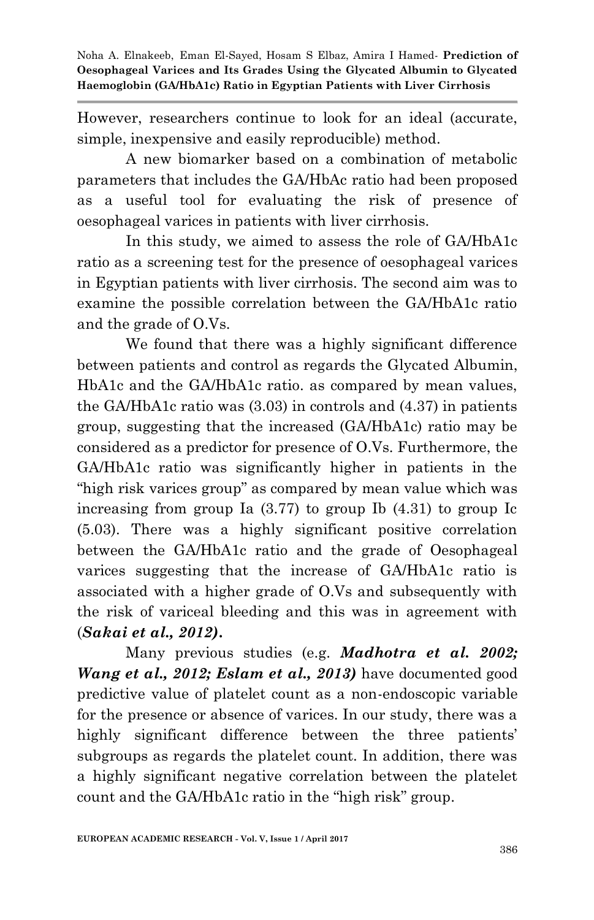However, researchers continue to look for an ideal (accurate, simple, inexpensive and easily reproducible) method.

A new biomarker based on a combination of metabolic parameters that includes the GA/HbAc ratio had been proposed as a useful tool for evaluating the risk of presence of oesophageal varices in patients with liver cirrhosis.

In this study, we aimed to assess the role of GA/HbA1c ratio as a screening test for the presence of oesophageal varices in Egyptian patients with liver cirrhosis. The second aim was to examine the possible correlation between the GA/HbA1c ratio and the grade of O.Vs.

We found that there was a highly significant difference between patients and control as regards the Glycated Albumin, HbA1c and the GA/HbA1c ratio. as compared by mean values, the GA/HbA1c ratio was (3.03) in controls and (4.37) in patients group, suggesting that the increased (GA/HbA1c) ratio may be considered as a predictor for presence of O.Vs. Furthermore, the GA/HbA1c ratio was significantly higher in patients in the "high risk varices group" as compared by mean value which was increasing from group Ia (3.77) to group Ib (4.31) to group Ic (5.03). There was a highly significant positive correlation between the GA/HbA1c ratio and the grade of Oesophageal varices suggesting that the increase of GA/HbA1c ratio is associated with a higher grade of O.Vs and subsequently with the risk of variceal bleeding and this was in agreement with (*Sakai et al., 2012)***.**

Many previous studies (e.g. *Madhotra et al. 2002; Wang et al., 2012; Eslam et al., 2013)* have documented good predictive value of platelet count as a non-endoscopic variable for the presence or absence of varices. In our study, there was a highly significant difference between the three patients' subgroups as regards the platelet count. In addition, there was a highly significant negative correlation between the platelet count and the GA/HbA1c ratio in the "high risk" group.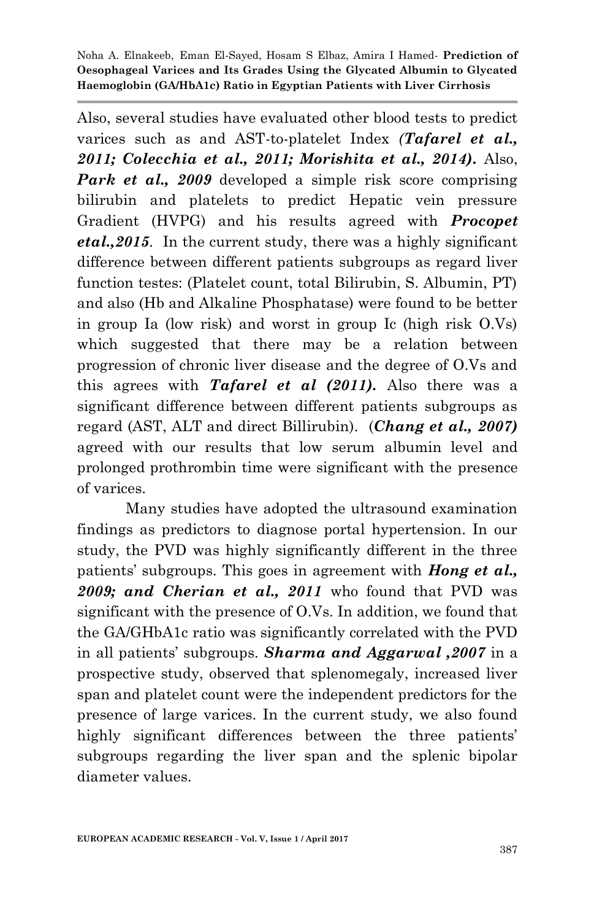Also, several studies have evaluated other blood tests to predict varices such as and AST-to-platelet Index *(Tafarel et al., 2011; Colecchia et al., 2011; Morishita et al., 2014).* Also, *Park et al., 2009* developed a simple risk score comprising bilirubin and platelets to predict Hepatic vein pressure Gradient (HVPG) and his results agreed with *Procopet etal.,2015.* In the current study, there was a highly significant difference between different patients subgroups as regard liver function testes: (Platelet count, total Bilirubin, S. Albumin, PT) and also (Hb and Alkaline Phosphatase) were found to be better in group Ia (low risk) and worst in group Ic (high risk O.Vs) which suggested that there may be a relation between progression of chronic liver disease and the degree of O.Vs and this agrees with *Tafarel et al (2011).* Also there was a significant difference between different patients subgroups as regard (AST, ALT and direct Billirubin)*.* (*Chang et al., 2007)* agreed with our results that low serum albumin level and prolonged prothrombin time were significant with the presence of varices.

Many studies have adopted the ultrasound examination findings as predictors to diagnose portal hypertension. In our study, the PVD was highly significantly different in the three patients' subgroups. This goes in agreement with *Hong et al., 2009; and Cherian et al., 2011* who found that PVD was significant with the presence of O.Vs. In addition, we found that the GA/GHbA1c ratio was significantly correlated with the PVD in all patients' subgroups*. Sharma and Aggarwal ,2007* in a prospective study, observed that splenomegaly, increased liver span and platelet count were the independent predictors for the presence of large varices. In the current study, we also found highly significant differences between the three patients' subgroups regarding the liver span and the splenic bipolar diameter values.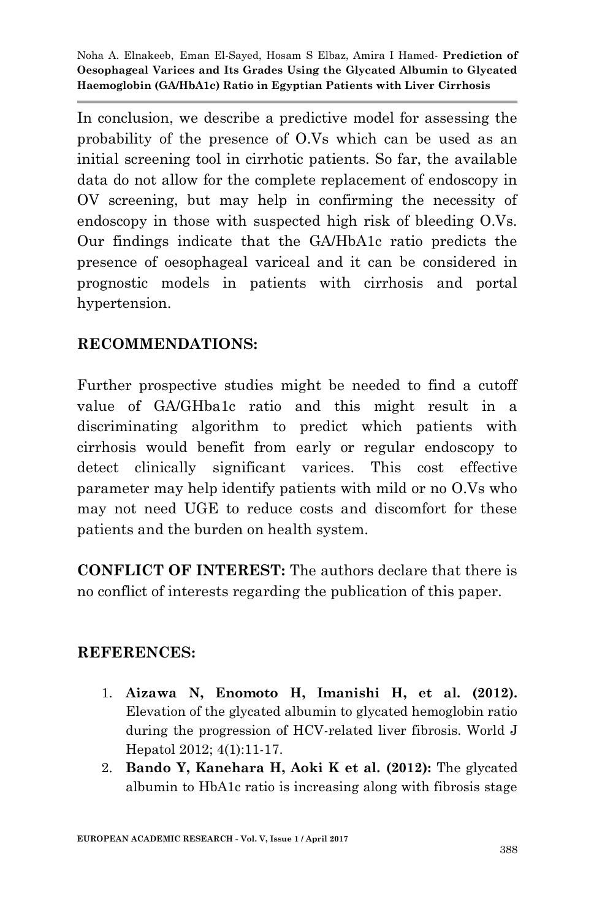In conclusion, we describe a predictive model for assessing the probability of the presence of O.Vs which can be used as an initial screening tool in cirrhotic patients. So far, the available data do not allow for the complete replacement of endoscopy in OV screening, but may help in confirming the necessity of endoscopy in those with suspected high risk of bleeding O.Vs. Our findings indicate that the GA/HbA1c ratio predicts the presence of oesophageal variceal and it can be considered in prognostic models in patients with cirrhosis and portal hypertension.

## **RECOMMENDATIONS:**

Further prospective studies might be needed to find a cutoff value of GA/GHba1c ratio and this might result in a discriminating algorithm to predict which patients with cirrhosis would benefit from early or regular endoscopy to detect clinically significant varices. This cost effective parameter may help identify patients with mild or no O.Vs who may not need UGE to reduce costs and discomfort for these patients and the burden on health system.

**CONFLICT OF INTEREST:** The authors declare that there is no conflict of interests regarding the publication of this paper.

#### **REFERENCES:**

- 1. **Aizawa N, Enomoto H, Imanishi H, et al. (2012).**  Elevation of the glycated albumin to glycated hemoglobin ratio during the progression of HCV-related liver fibrosis. World J Hepatol 2012; 4(1):11-17.
- 2. **Bando Y, Kanehara H, Aoki K et al. (2012):** The glycated albumin to HbA1c ratio is increasing along with fibrosis stage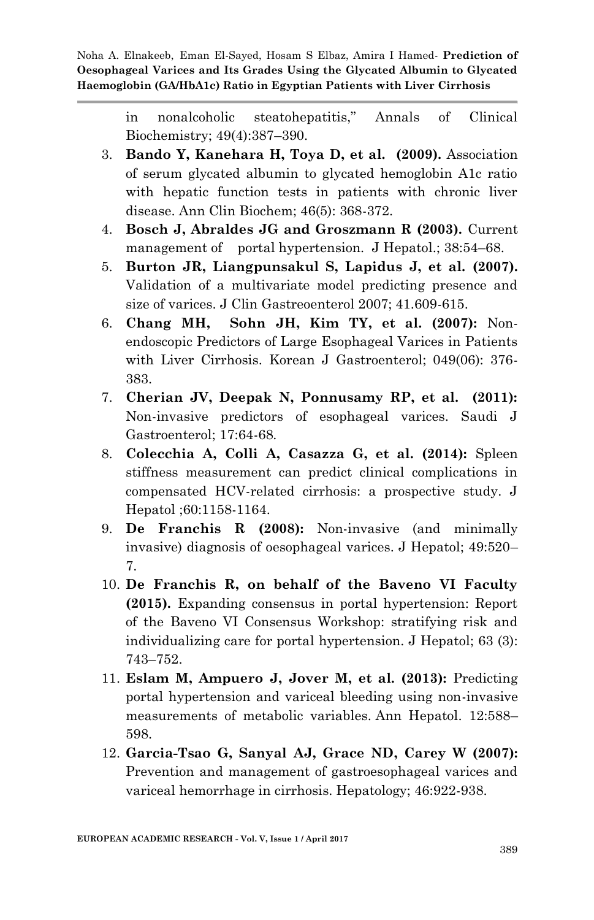> in nonalcoholic steatohepatitis," Annals of Clinical Biochemistry; 49(4):387–390.

- 3. **Bando Y, Kanehara H, Toya D, et al. (2009).** Association of serum glycated albumin to glycated hemoglobin A1c ratio with hepatic function tests in patients with chronic liver disease. Ann Clin Biochem; 46(5): 368-372.
- 4. **Bosch J, Abraldes JG and Groszmann R (2003).** Current management of portal hypertension. J Hepatol.; 38:54–68.
- 5. **Burton JR, Liangpunsakul S, Lapidus J, et al. (2007).**  Validation of a multivariate model predicting presence and size of varices. J Clin Gastreoenterol 2007; 41.609-615.
- 6. **Chang MH, Sohn JH, Kim TY, et al. (2007):** Nonendoscopic Predictors of Large Esophageal Varices in Patients with Liver Cirrhosis. Korean J Gastroenterol; 049(06): 376- 383.
- 7. **Cherian JV, Deepak N, Ponnusamy RP, et al. (2011):** Non-invasive predictors of esophageal varices. Saudi J Gastroenterol; 17:64-68.
- 8. **Colecchia A, Colli A, Casazza G, et al. (2014):** Spleen stiffness measurement can predict clinical complications in compensated HCV-related cirrhosis: a prospective study. J Hepatol ;60:1158-1164.
- 9. **De Franchis R (2008):** Non-invasive (and minimally invasive) diagnosis of oesophageal varices. J Hepatol; 49:520– 7.
- 10. **De Franchis R, on behalf of the Baveno VI Faculty (2015).** Expanding consensus in portal hypertension: Report of the Baveno VI Consensus Workshop: stratifying risk and individualizing care for portal hypertension. J Hepatol; 63 (3): 743–752.
- 11. **Eslam M, Ampuero J, Jover M, et al. (2013):** Predicting portal hypertension and variceal bleeding using non-invasive measurements of metabolic variables. Ann Hepatol. 12:588– 598.
- 12. **Garcia-Tsao G, Sanyal AJ, Grace ND, Carey W (2007):** Prevention and management of gastroesophageal varices and variceal hemorrhage in cirrhosis. Hepatology; 46:922-938.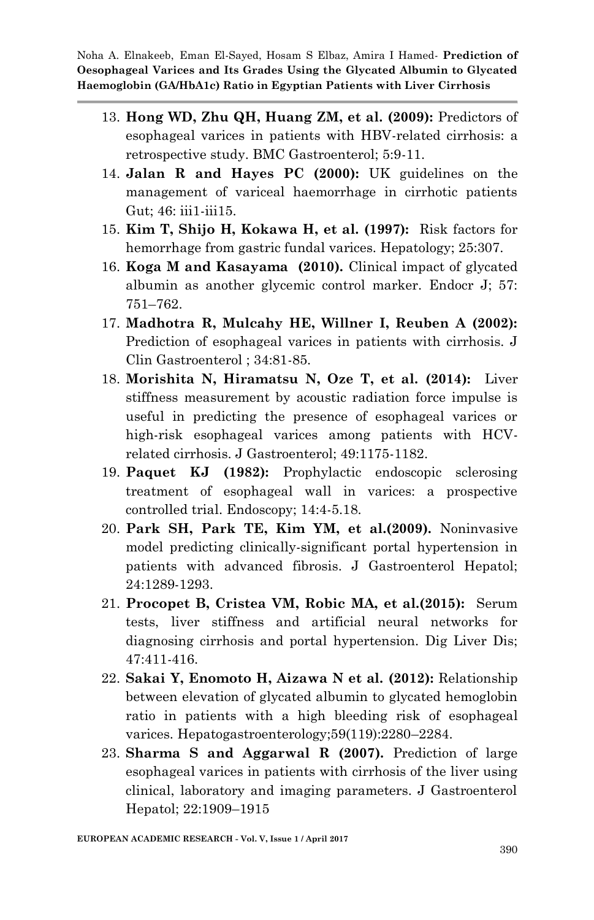- 13. **Hong WD, Zhu QH, Huang ZM, et al. (2009):** Predictors of esophageal varices in patients with HBV-related cirrhosis: a retrospective study. BMC Gastroenterol; 5:9-11.
- 14. **Jalan R and Hayes PC (2000):** UK guidelines on the management of variceal haemorrhage in cirrhotic patients Gut; 46: iii1-iii15.
- 15. **Kim T, Shijo H, Kokawa H, et al. (1997):** Risk factors for hemorrhage from gastric fundal varices. Hepatology; 25:307.
- 16. **Koga M and Kasayama (2010).** Clinical impact of glycated albumin as another glycemic control marker. Endocr J; 57: 751–762.
- 17. **Madhotra R, Mulcahy HE, Willner I, Reuben A (2002):**  Prediction of esophageal varices in patients with cirrhosis. J Clin Gastroenterol ; 34:81-85.
- 18. **Morishita N, Hiramatsu N, Oze T, et al. (2014):** Liver stiffness measurement by acoustic radiation force impulse is useful in predicting the presence of esophageal varices or high-risk esophageal varices among patients with HCVrelated cirrhosis. J Gastroenterol; 49:1175-1182.
- 19. **Paquet KJ (1982):** Prophylactic endoscopic sclerosing treatment of esophageal wall in varices: a prospective controlled trial. Endoscopy; 14:4-5.18.
- 20. **Park SH, Park TE, Kim YM, et al.(2009).** Noninvasive model predicting clinically-significant portal hypertension in patients with advanced fibrosis. J Gastroenterol Hepatol; 24:1289-1293.
- 21. **Procopet B, Cristea VM, Robic MA, et al.(2015):** Serum tests, liver stiffness and artificial neural networks for diagnosing cirrhosis and portal hypertension. Dig Liver Dis; 47:411-416.
- 22. **Sakai Y, Enomoto H, Aizawa N et al. (2012):** Relationship between elevation of glycated albumin to glycated hemoglobin ratio in patients with a high bleeding risk of esophageal varices. Hepatogastroenterology;59(119):2280–2284.
- 23. **Sharma S and Aggarwal R (2007).** Prediction of large esophageal varices in patients with cirrhosis of the liver using clinical, laboratory and imaging parameters. J Gastroenterol Hepatol; 22:1909–1915